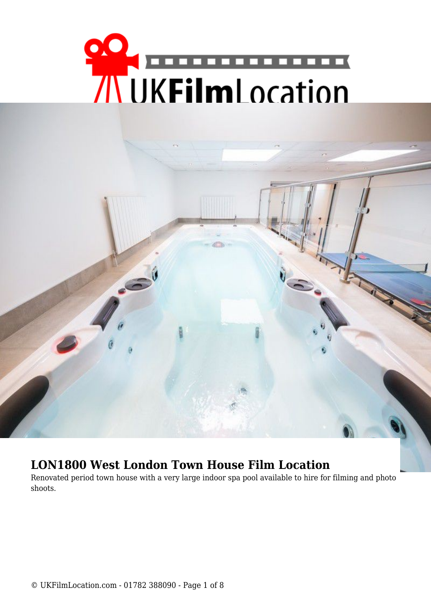# **We EXPRESS THE EXPRESS**



Renovated period town house with a very large indoor spa pool available to hire for filming and photo shoots.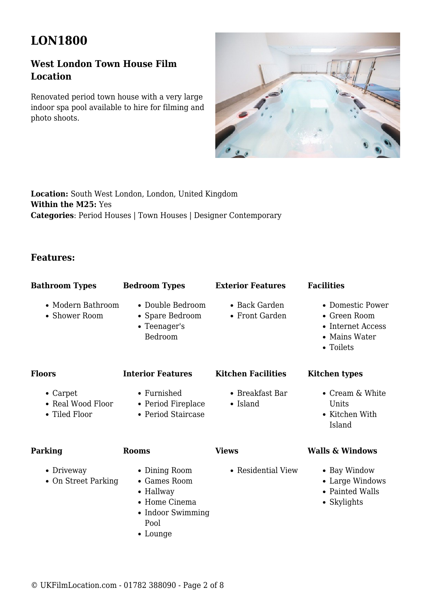# **LON1800**

## **West London Town House Film Location**

Renovated period town house with a very large indoor spa pool available to hire for filming and photo shoots.



**Location:** South West London, London, United Kingdom **Within the M25:** Yes **Categories**: Period Houses | Town Houses | Designer Contemporary

### **Features:**

| <b>Bathroom Types</b>                                  | <b>Bedroom Types</b>                                                                             | <b>Exterior Features</b>                    | <b>Facilities</b>                                                                   |
|--------------------------------------------------------|--------------------------------------------------------------------------------------------------|---------------------------------------------|-------------------------------------------------------------------------------------|
| • Modern Bathroom<br>• Shower Room                     | • Double Bedroom<br>• Spare Bedroom<br>$\bullet$ Teenager's<br>Bedroom                           | $\bullet$ Back Garden<br>• Front Garden     | • Domestic Power<br>• Green Room<br>• Internet Access<br>• Mains Water<br>• Toilets |
| <b>Floors</b>                                          | <b>Interior Features</b>                                                                         | <b>Kitchen Facilities</b>                   | <b>Kitchen types</b>                                                                |
| $\bullet$ Carpet<br>• Real Wood Floor<br>• Tiled Floor | $\bullet$ Furnished<br>• Period Fireplace<br>• Period Staircase                                  | $\bullet$ Breakfast Bar<br>$\bullet$ Island | • Cream & White<br>Units<br>• Kitchen With<br>Island                                |
| Parking                                                | <b>Rooms</b>                                                                                     | <b>Views</b>                                | <b>Walls &amp; Windows</b>                                                          |
| • Driveway<br>• On Street Parking                      | • Dining Room<br>• Games Room<br>$\bullet$ Hallway<br>• Home Cinema<br>• Indoor Swimming<br>Pool | • Residential View                          | • Bay Window<br>• Large Windows<br>• Painted Walls<br>• Skylights                   |

Lounge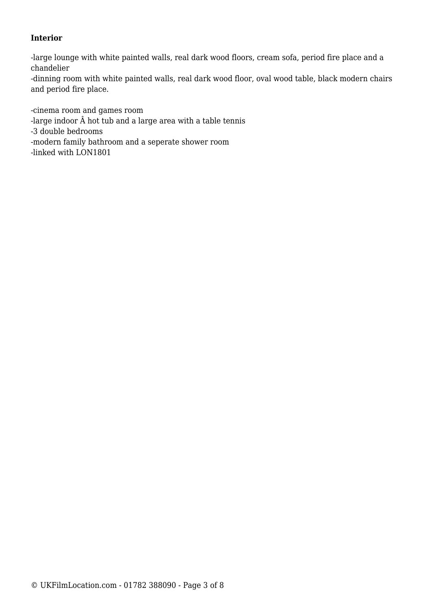### **Interior**

-large lounge with white painted walls, real dark wood floors, cream sofa, period fire place and a chandelier

-dinning room with white painted walls, real dark wood floor, oval wood table, black modern chairs and period fire place.

-cinema room and games room -large indoor  $\hat{A}$  hot tub and a large area with a table tennis -3 double bedrooms -modern family bathroom and a seperate shower room -linked with LON1801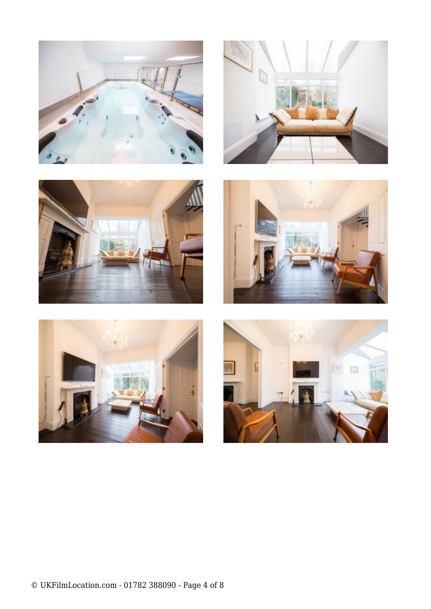









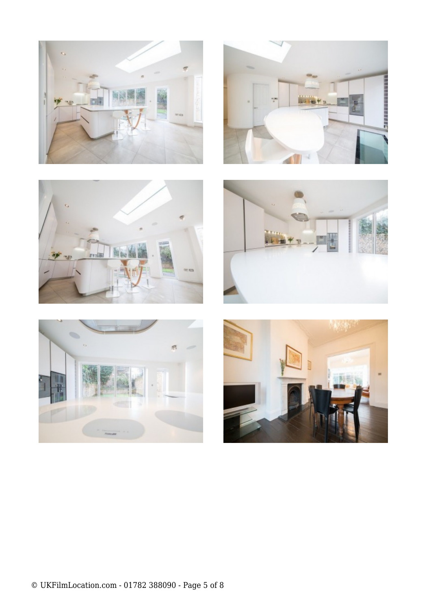









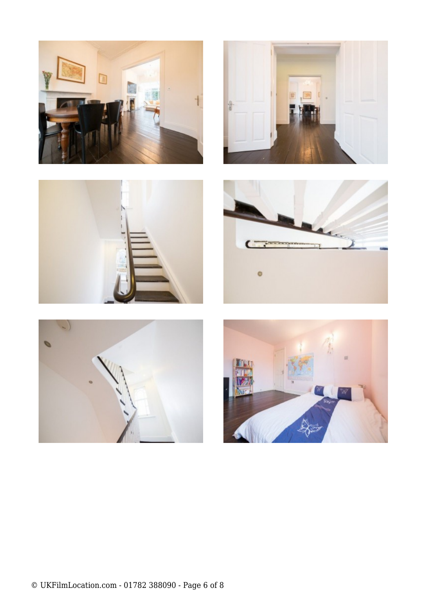









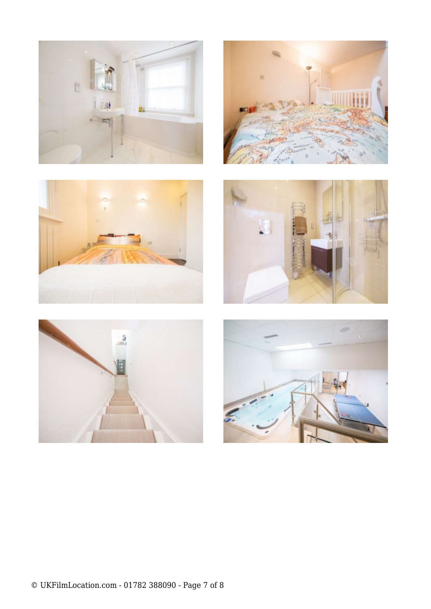